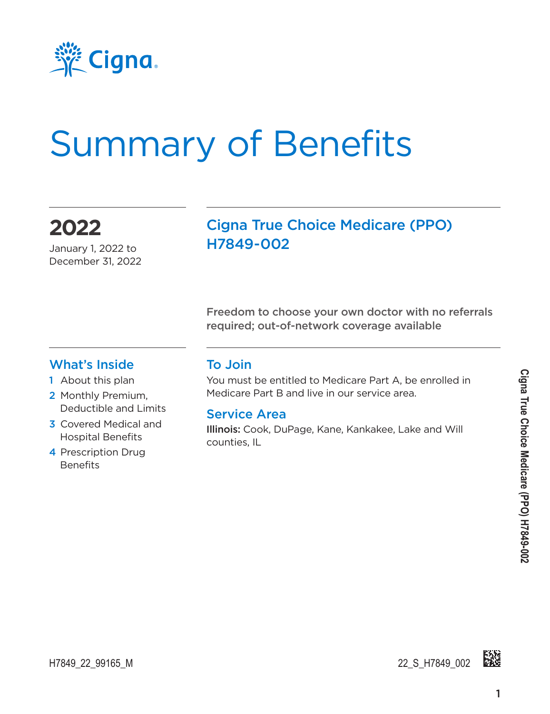

# Summary of Benefits

**2022** January 1, 2022 to

December 31, 2022

#### Cigna True Choice Medicare (PPO) H7849-002

Freedom to choose your own doctor with no referrals required; out-of-network coverage available

#### What's Inside

- 1 About this plan
- 2 Monthly Premium, Deductible and Limits
- 3 Covered Medical and Hospital Benefits
- 4 Prescription Drug **Benefits**

#### To Join

You must be entitled to Medicare Part A, be enrolled in Medicare Part B and live in our service area.

#### Service Area

Illinois: Cook, DuPage, Kane, Kankakee, Lake and Will counties, IL

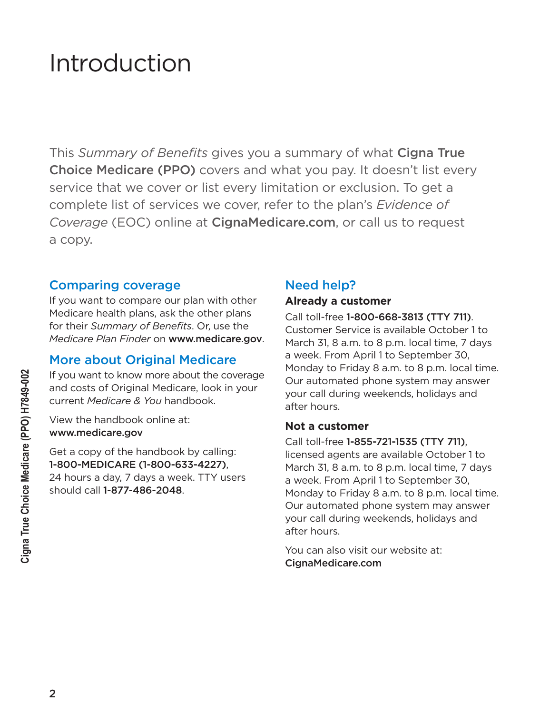### Introduction

This *Summary of Benefits* gives you a summary of what Cigna True Choice Medicare (PPO) covers and what you pay. It doesn't list every service that we cover or list every limitation or exclusion. To get a complete list of services we cover, refer to the plan's *Evidence of Coverage* (EOC) online at [CignaMedicare.com](http://www.cignamedicare.com), or call us to request a copy.

#### Comparing coverage

If you want to compare our plan with other Medicare health plans, ask the other plans for their *Summary of Benefits*. Or, use the *Medicare Plan Finder* on www.medicare.gov.

#### More about Original Medicare

If you want to know more about the coverage and costs of Original Medicare, look in your current *Medicare & You* handbook.

View the handbook online at: www.medicare.gov

Get a copy of the handbook by calling: 1-800-MEDICARE (1-800-633-4227), 24 hours a day, 7 days a week. TTY users should call 1-877-486-2048.

#### Need help?

#### **Already a customer**

Call toll-free 1-800-668-3813 (TTY 711). Customer Service is available October 1 to March 31, 8 a.m. to 8 p.m. local time, 7 days a week. From April 1 to September 30, Monday to Friday 8 a.m. to 8 p.m. local time. Our automated phone system may answer your call during weekends, holidays and after hours.

#### **Not a customer**

Call toll-free 1-855-721-1535 (TTY 711), licensed agents are available October 1 to March 31, 8 a.m. to 8 p.m. local time, 7 days a week. From April 1 to September 30, Monday to Friday 8 a.m. to 8 p.m. local time. Our automated phone system may answer your call during weekends, holidays and after hours.

You can also visit our website at: [CignaMedicare.com](http://www.cignamedicare.com)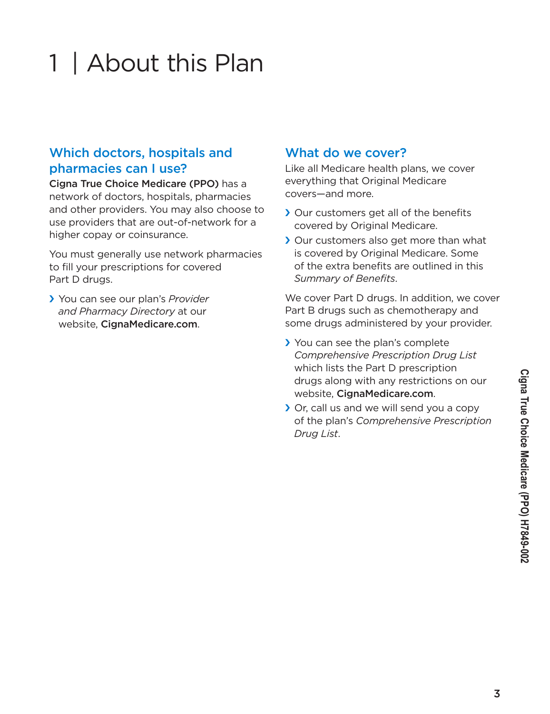#### 3

# 1 | About this Plan

#### Which doctors, hospitals and pharmacies can I use?

Cigna True Choice Medicare (PPO) has a network of doctors, hospitals, pharmacies and other providers. You may also choose to use providers that are out-of-network for a higher copay or coinsurance.

You must generally use network pharmacies to fill your prescriptions for covered Part D drugs.

› You can see our plan's *Provider and Pharmacy Directory* at our website, [CignaMedicare.com](http://www.cignamedicare.com).

#### What do we cover?

Like all Medicare health plans, we cover everything that Original Medicare covers—and more.

- › Our customers get all of the benefits covered by Original Medicare.
- › Our customers also get more than what is covered by Original Medicare. Some of the extra benefits are outlined in this *Summary of Benefits*.

We cover Part D drugs. In addition, we cover Part B drugs such as chemotherapy and some drugs administered by your provider.

- › You can see the plan's complete *Comprehensive Prescription Drug List* which lists the Part D prescription drugs along with any restrictions on our website, [CignaMedicare.com](http://www.cignamedicare.com).
- › Or, call us and we will send you a copy of the plan's *Comprehensive Prescription Drug List*.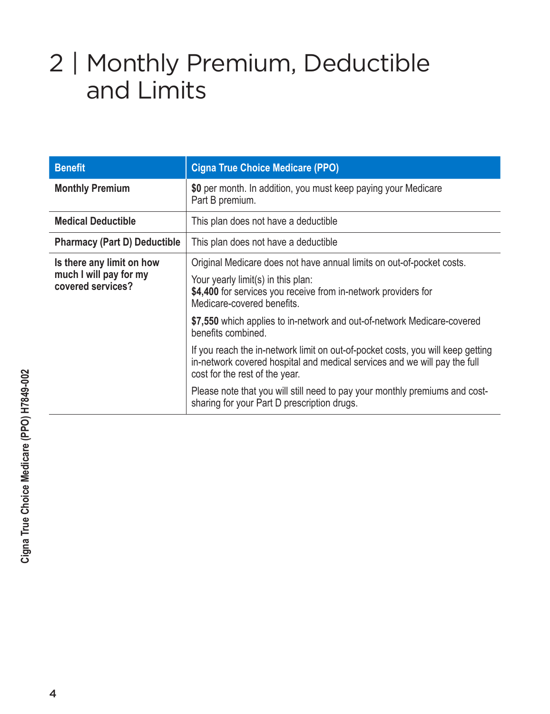### 2 | Monthly Premium, Deductible and Limits

| <b>Benefit</b>                                                           | <b>Cigna True Choice Medicare (PPO)</b>                                                                                                                                                                     |
|--------------------------------------------------------------------------|-------------------------------------------------------------------------------------------------------------------------------------------------------------------------------------------------------------|
| <b>Monthly Premium</b>                                                   | \$0 per month. In addition, you must keep paying your Medicare<br>Part B premium.                                                                                                                           |
| <b>Medical Deductible</b>                                                | This plan does not have a deductible                                                                                                                                                                        |
| <b>Pharmacy (Part D) Deductible</b>                                      | This plan does not have a deductible                                                                                                                                                                        |
| Is there any limit on how<br>much I will pay for my<br>covered services? | Original Medicare does not have annual limits on out-of-pocket costs.<br>Your yearly limit(s) in this plan:<br>\$4,400 for services you receive from in-network providers for<br>Medicare-covered benefits. |
|                                                                          | \$7,550 which applies to in-network and out-of-network Medicare-covered<br>benefits combined.                                                                                                               |
|                                                                          | If you reach the in-network limit on out-of-pocket costs, you will keep getting<br>in-network covered hospital and medical services and we will pay the full<br>cost for the rest of the year.              |
|                                                                          | Please note that you will still need to pay your monthly premiums and cost-<br>sharing for your Part D prescription drugs.                                                                                  |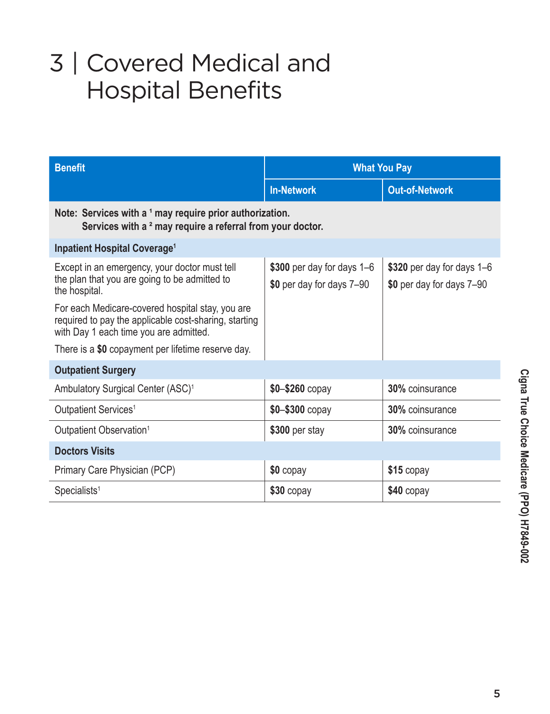## 3 | Covered Medical and Hospital Benefits

| <b>Benefit</b>                                                                                                                                      | <b>What You Pay</b>                                     |                                                         |  |
|-----------------------------------------------------------------------------------------------------------------------------------------------------|---------------------------------------------------------|---------------------------------------------------------|--|
|                                                                                                                                                     | <b>In-Network</b>                                       | <b>Out-of-Network</b>                                   |  |
| Note: Services with a 1 may require prior authorization.<br>Services with a <sup>2</sup> may require a referral from your doctor.                   |                                                         |                                                         |  |
| <b>Inpatient Hospital Coverage<sup>1</sup></b>                                                                                                      |                                                         |                                                         |  |
| Except in an emergency, your doctor must tell<br>the plan that you are going to be admitted to<br>the hospital.                                     | \$300 per day for days 1-6<br>\$0 per day for days 7-90 | \$320 per day for days 1–6<br>\$0 per day for days 7-90 |  |
| For each Medicare-covered hospital stay, you are<br>required to pay the applicable cost-sharing, starting<br>with Day 1 each time you are admitted. |                                                         |                                                         |  |
| There is a \$0 copayment per lifetime reserve day.                                                                                                  |                                                         |                                                         |  |
| <b>Outpatient Surgery</b>                                                                                                                           |                                                         |                                                         |  |
| Ambulatory Surgical Center (ASC) <sup>1</sup>                                                                                                       | $$0 - $260$ copay                                       | 30% coinsurance                                         |  |
| Outpatient Services <sup>1</sup>                                                                                                                    | \$0-\$300 copay                                         | <b>30%</b> coinsurance                                  |  |
| Outpatient Observation <sup>1</sup>                                                                                                                 | \$300 per stay                                          | <b>30%</b> coinsurance                                  |  |
| <b>Doctors Visits</b>                                                                                                                               |                                                         |                                                         |  |
| Primary Care Physician (PCP)                                                                                                                        | \$0 copay                                               | $$15$ copay                                             |  |
| $S$ pecialists <sup>1</sup>                                                                                                                         | $$30$ copay                                             | \$40 copay                                              |  |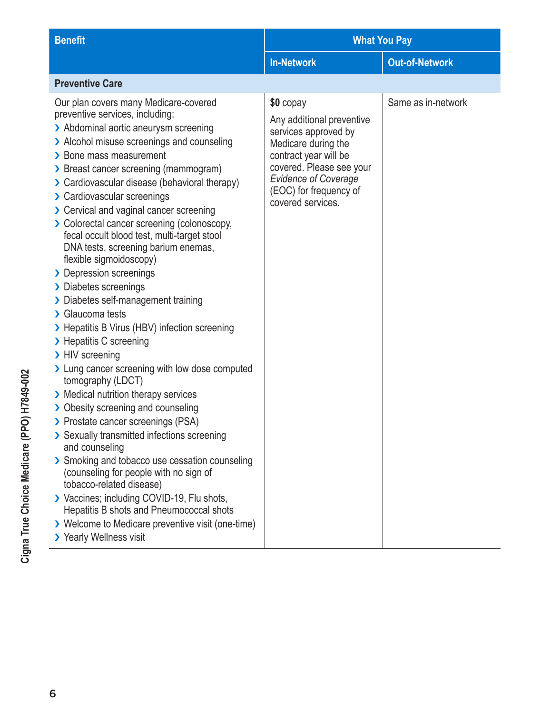| <b>Benefit</b>                                                                                                                                                                                                                                                                                                                                                                                                                                                                                                                                                                                                                                                                                                                                                                                                                                                                                                                                                                                                                                                                                                                                                                                                                                                                                             | <b>What You Pay</b>                                                                                                                                                                                                      |                       |  |
|------------------------------------------------------------------------------------------------------------------------------------------------------------------------------------------------------------------------------------------------------------------------------------------------------------------------------------------------------------------------------------------------------------------------------------------------------------------------------------------------------------------------------------------------------------------------------------------------------------------------------------------------------------------------------------------------------------------------------------------------------------------------------------------------------------------------------------------------------------------------------------------------------------------------------------------------------------------------------------------------------------------------------------------------------------------------------------------------------------------------------------------------------------------------------------------------------------------------------------------------------------------------------------------------------------|--------------------------------------------------------------------------------------------------------------------------------------------------------------------------------------------------------------------------|-----------------------|--|
|                                                                                                                                                                                                                                                                                                                                                                                                                                                                                                                                                                                                                                                                                                                                                                                                                                                                                                                                                                                                                                                                                                                                                                                                                                                                                                            | <b>In-Network</b>                                                                                                                                                                                                        | <b>Out-of-Network</b> |  |
| <b>Preventive Care</b>                                                                                                                                                                                                                                                                                                                                                                                                                                                                                                                                                                                                                                                                                                                                                                                                                                                                                                                                                                                                                                                                                                                                                                                                                                                                                     |                                                                                                                                                                                                                          |                       |  |
| Our plan covers many Medicare-covered<br>preventive services, including:<br>> Abdominal aortic aneurysm screening<br>> Alcohol misuse screenings and counseling<br>> Bone mass measurement<br>> Breast cancer screening (mammogram)<br>> Cardiovascular disease (behavioral therapy)<br>> Cardiovascular screenings<br>> Cervical and vaginal cancer screening<br>> Colorectal cancer screening (colonoscopy,<br>fecal occult blood test, multi-target stool<br>DNA tests, screening barium enemas,<br>flexible sigmoidoscopy)<br>> Depression screenings<br>> Diabetes screenings<br>> Diabetes self-management training<br>> Glaucoma tests<br>> Hepatitis B Virus (HBV) infection screening<br>> Hepatitis C screening<br>> HIV screening<br>> Lung cancer screening with low dose computed<br>tomography (LDCT)<br>> Medical nutrition therapy services<br>> Obesity screening and counseling<br>> Prostate cancer screenings (PSA)<br>> Sexually transmitted infections screening<br>and counseling<br>> Smoking and tobacco use cessation counseling<br>(counseling for people with no sign of<br>tobacco-related disease)<br>> Vaccines; including COVID-19, Flu shots,<br>Hepatitis B shots and Pneumococcal shots<br>> Welcome to Medicare preventive visit (one-time)<br>> Yearly Wellness visit | \$0 copay<br>Any additional preventive<br>services approved by<br>Medicare during the<br>contract year will be<br>covered. Please see your<br><b>Evidence of Coverage</b><br>(EOC) for frequency of<br>covered services. | Same as in-network    |  |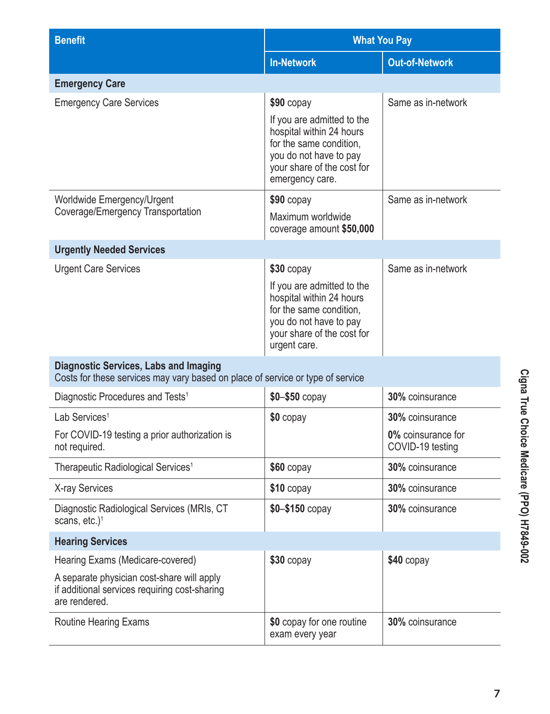| <b>Benefit</b>                                                                                                                 | <b>What You Pay</b>                                                                                                                                          |                                        |  |
|--------------------------------------------------------------------------------------------------------------------------------|--------------------------------------------------------------------------------------------------------------------------------------------------------------|----------------------------------------|--|
|                                                                                                                                | <b>In-Network</b>                                                                                                                                            | <b>Out-of-Network</b>                  |  |
| <b>Emergency Care</b>                                                                                                          |                                                                                                                                                              |                                        |  |
| <b>Emergency Care Services</b>                                                                                                 | $$90$ copay                                                                                                                                                  | Same as in-network                     |  |
|                                                                                                                                | If you are admitted to the<br>hospital within 24 hours<br>for the same condition,<br>you do not have to pay<br>your share of the cost for<br>emergency care. |                                        |  |
| Worldwide Emergency/Urgent                                                                                                     | $$90$ copay                                                                                                                                                  | Same as in-network                     |  |
| Coverage/Emergency Transportation                                                                                              | Maximum worldwide<br>coverage amount \$50,000                                                                                                                |                                        |  |
| <b>Urgently Needed Services</b>                                                                                                |                                                                                                                                                              |                                        |  |
| <b>Urgent Care Services</b>                                                                                                    | $$30$ copay                                                                                                                                                  | Same as in-network                     |  |
|                                                                                                                                | If you are admitted to the<br>hospital within 24 hours<br>for the same condition,<br>you do not have to pay<br>your share of the cost for<br>urgent care.    |                                        |  |
| <b>Diagnostic Services, Labs and Imaging</b><br>Costs for these services may vary based on place of service or type of service |                                                                                                                                                              |                                        |  |
| Diagnostic Procedures and Tests <sup>1</sup>                                                                                   | $$0 - $50$ copay                                                                                                                                             | 30% coinsurance                        |  |
| Lab Services <sup>1</sup>                                                                                                      | $$0$ copay                                                                                                                                                   | 30% coinsurance                        |  |
| For COVID-19 testing a prior authorization is<br>not required.                                                                 |                                                                                                                                                              | 0% coinsurance for<br>COVID-19 testing |  |
| Therapeutic Radiological Services <sup>1</sup>                                                                                 | $$60$ copay                                                                                                                                                  | 30% coinsurance                        |  |
| X-ray Services                                                                                                                 | $$10$ copay                                                                                                                                                  | 30% coinsurance                        |  |
| Diagnostic Radiological Services (MRIs, CT<br>scans, $etc.$ ) <sup>1</sup>                                                     | $$0 - $150$ copay                                                                                                                                            | 30% coinsurance                        |  |
| <b>Hearing Services</b>                                                                                                        |                                                                                                                                                              |                                        |  |
| Hearing Exams (Medicare-covered)                                                                                               | $$30$ copay                                                                                                                                                  | $$40$ copay                            |  |
| A separate physician cost-share will apply<br>if additional services requiring cost-sharing<br>are rendered.                   |                                                                                                                                                              |                                        |  |
| Routine Hearing Exams                                                                                                          | \$0 copay for one routine<br>exam every year                                                                                                                 | 30% coinsurance                        |  |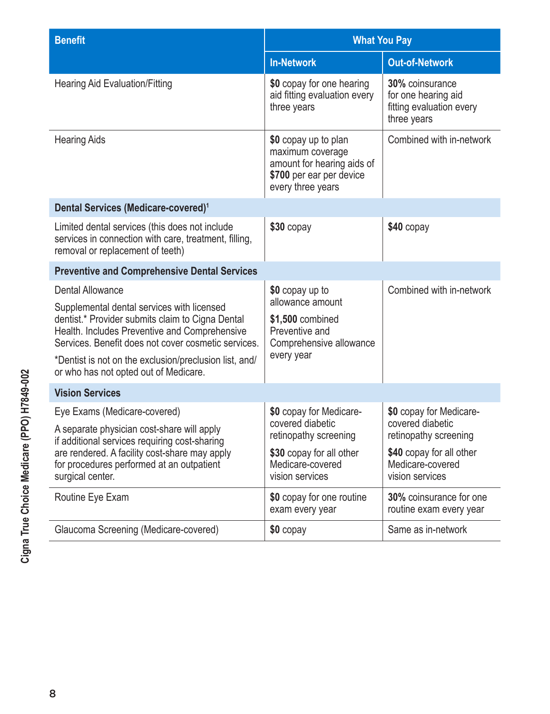| <b>Benefit</b>                                                                                                                                                                                                                                                                                                                       | <b>What You Pay</b>                                                                                                     |                                                                                   |  |
|--------------------------------------------------------------------------------------------------------------------------------------------------------------------------------------------------------------------------------------------------------------------------------------------------------------------------------------|-------------------------------------------------------------------------------------------------------------------------|-----------------------------------------------------------------------------------|--|
|                                                                                                                                                                                                                                                                                                                                      | <b>In-Network</b>                                                                                                       | <b>Out-of-Network</b>                                                             |  |
| <b>Hearing Aid Evaluation/Fitting</b>                                                                                                                                                                                                                                                                                                | \$0 copay for one hearing<br>aid fitting evaluation every<br>three years                                                | 30% coinsurance<br>for one hearing aid<br>fitting evaluation every<br>three years |  |
| <b>Hearing Aids</b>                                                                                                                                                                                                                                                                                                                  | \$0 copay up to plan<br>maximum coverage<br>amount for hearing aids of<br>\$700 per ear per device<br>every three years | Combined with in-network                                                          |  |
| Dental Services (Medicare-covered) <sup>1</sup>                                                                                                                                                                                                                                                                                      |                                                                                                                         |                                                                                   |  |
| Limited dental services (this does not include<br>services in connection with care, treatment, filling,<br>removal or replacement of teeth)                                                                                                                                                                                          | $$30$ copay                                                                                                             | \$40 copay                                                                        |  |
| <b>Preventive and Comprehensive Dental Services</b>                                                                                                                                                                                                                                                                                  |                                                                                                                         |                                                                                   |  |
| <b>Dental Allowance</b><br>Supplemental dental services with licensed<br>dentist.* Provider submits claim to Cigna Dental<br>Health. Includes Preventive and Comprehensive<br>Services. Benefit does not cover cosmetic services.<br>*Dentist is not on the exclusion/preclusion list, and/<br>or who has not opted out of Medicare. | \$0 copay up to<br>allowance amount<br>\$1,500 combined<br>Preventive and<br>Comprehensive allowance<br>every year      | Combined with in-network                                                          |  |
| <b>Vision Services</b>                                                                                                                                                                                                                                                                                                               |                                                                                                                         |                                                                                   |  |
| Eye Exams (Medicare-covered)<br>A separate physician cost-share will apply<br>if additional services requiring cost-sharing<br>are rendered. A facility cost-share may apply<br>for procedures performed at an outpatient<br>surgical center.                                                                                        | \$0 copay for Medicare-<br>covered diabetic<br>retinopathy screening                                                    | \$0 copay for Medicare-<br>covered diabetic<br>retinopathy screening              |  |
|                                                                                                                                                                                                                                                                                                                                      | \$30 copay for all other<br>Medicare-covered<br>vision services                                                         | \$40 copay for all other<br>Medicare-covered<br>vision services                   |  |
| Routine Eye Exam                                                                                                                                                                                                                                                                                                                     | \$0 copay for one routine<br>exam every year                                                                            | 30% coinsurance for one<br>routine exam every year                                |  |
| Glaucoma Screening (Medicare-covered)                                                                                                                                                                                                                                                                                                | \$0 copay                                                                                                               | Same as in-network                                                                |  |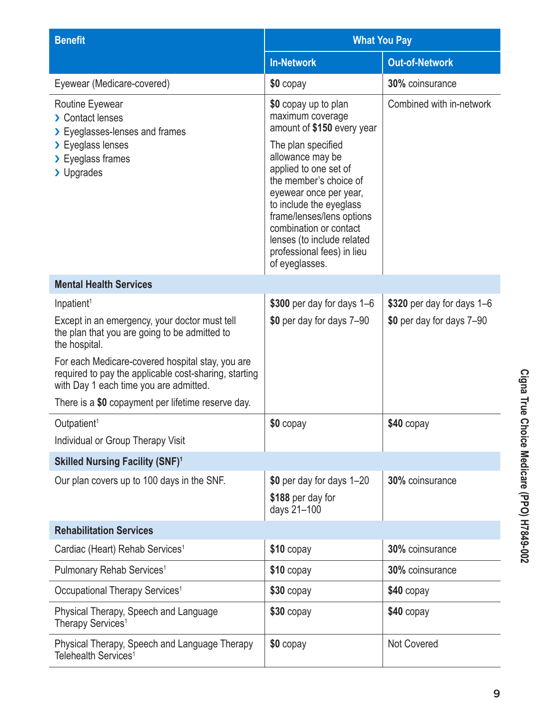| <b>Benefit</b>                                                                                                                                      | <b>What You Pay</b>                                                                                                                                                                                                                                                                                                                                           |                            |  |
|-----------------------------------------------------------------------------------------------------------------------------------------------------|---------------------------------------------------------------------------------------------------------------------------------------------------------------------------------------------------------------------------------------------------------------------------------------------------------------------------------------------------------------|----------------------------|--|
|                                                                                                                                                     | <b>In-Network</b>                                                                                                                                                                                                                                                                                                                                             | <b>Out-of-Network</b>      |  |
| Eyewear (Medicare-covered)                                                                                                                          | \$0 copay                                                                                                                                                                                                                                                                                                                                                     | 30% coinsurance            |  |
| Routine Eyewear<br>> Contact lenses<br>> Eyeglasses-lenses and frames<br>> Eyeglass lenses<br>> Eyeglass frames<br>> Upgrades                       | \$0 copay up to plan<br>maximum coverage<br>amount of \$150 every year<br>The plan specified<br>allowance may be<br>applied to one set of<br>the member's choice of<br>eyewear once per year,<br>to include the eyeglass<br>frame/lenses/lens options<br>combination or contact<br>lenses (to include related<br>professional fees) in lieu<br>of eyeglasses. | Combined with in-network   |  |
| <b>Mental Health Services</b>                                                                                                                       |                                                                                                                                                                                                                                                                                                                                                               |                            |  |
| Inpatient <sup>1</sup>                                                                                                                              | \$300 per day for days 1-6                                                                                                                                                                                                                                                                                                                                    | \$320 per day for days 1-6 |  |
| Except in an emergency, your doctor must tell<br>the plan that you are going to be admitted to<br>the hospital.                                     | \$0 per day for days 7-90                                                                                                                                                                                                                                                                                                                                     | \$0 per day for days 7-90  |  |
| For each Medicare-covered hospital stay, you are<br>required to pay the applicable cost-sharing, starting<br>with Day 1 each time you are admitted. |                                                                                                                                                                                                                                                                                                                                                               |                            |  |
| There is a \$0 copayment per lifetime reserve day.                                                                                                  |                                                                                                                                                                                                                                                                                                                                                               |                            |  |
| Outpatient <sup>1</sup>                                                                                                                             | \$0 copay                                                                                                                                                                                                                                                                                                                                                     | \$40 copay                 |  |
| Individual or Group Therapy Visit                                                                                                                   |                                                                                                                                                                                                                                                                                                                                                               |                            |  |
| <b>Skilled Nursing Facility (SNF)1</b>                                                                                                              |                                                                                                                                                                                                                                                                                                                                                               |                            |  |
| Our plan covers up to 100 days in the SNF.                                                                                                          | \$0 per day for days 1-20                                                                                                                                                                                                                                                                                                                                     | 30% coinsurance            |  |
|                                                                                                                                                     | \$188 per day for<br>days 21-100                                                                                                                                                                                                                                                                                                                              |                            |  |
| <b>Rehabilitation Services</b>                                                                                                                      |                                                                                                                                                                                                                                                                                                                                                               |                            |  |
| Cardiac (Heart) Rehab Services <sup>1</sup>                                                                                                         | $$10$ copay                                                                                                                                                                                                                                                                                                                                                   | 30% coinsurance            |  |
| Pulmonary Rehab Services <sup>1</sup>                                                                                                               | $$10$ copay                                                                                                                                                                                                                                                                                                                                                   | 30% coinsurance            |  |
| Occupational Therapy Services <sup>1</sup>                                                                                                          | \$30 copay                                                                                                                                                                                                                                                                                                                                                    | $$40$ copay                |  |
| Physical Therapy, Speech and Language<br>Therapy Services <sup>1</sup>                                                                              | $$30$ copay                                                                                                                                                                                                                                                                                                                                                   | $$40$ copay                |  |
| Physical Therapy, Speech and Language Therapy<br>Telehealth Services <sup>1</sup>                                                                   | \$0 copay                                                                                                                                                                                                                                                                                                                                                     | <b>Not Covered</b>         |  |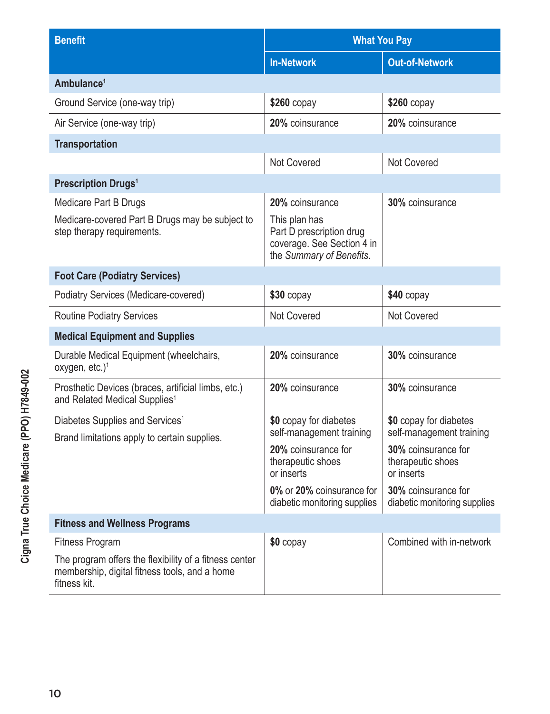| <b>Benefit</b>                                                                                                          | <b>What You Pay</b>                                                                                 |                                                        |  |
|-------------------------------------------------------------------------------------------------------------------------|-----------------------------------------------------------------------------------------------------|--------------------------------------------------------|--|
|                                                                                                                         | <b>In-Network</b>                                                                                   | <b>Out-of-Network</b>                                  |  |
| Ambulance <sup>1</sup>                                                                                                  |                                                                                                     |                                                        |  |
| Ground Service (one-way trip)                                                                                           | $$260$ copay                                                                                        | $$260$ copay                                           |  |
| Air Service (one-way trip)                                                                                              | 20% coinsurance                                                                                     | 20% coinsurance                                        |  |
| <b>Transportation</b>                                                                                                   |                                                                                                     |                                                        |  |
|                                                                                                                         | <b>Not Covered</b>                                                                                  | Not Covered                                            |  |
| <b>Prescription Drugs<sup>1</sup></b>                                                                                   |                                                                                                     |                                                        |  |
| Medicare Part B Drugs                                                                                                   | 20% coinsurance                                                                                     | 30% coinsurance                                        |  |
| Medicare-covered Part B Drugs may be subject to<br>step therapy requirements.                                           | This plan has<br>Part D prescription drug<br>coverage. See Section 4 in<br>the Summary of Benefits. |                                                        |  |
| <b>Foot Care (Podiatry Services)</b>                                                                                    |                                                                                                     |                                                        |  |
| Podiatry Services (Medicare-covered)                                                                                    | $$30$ copay                                                                                         | $$40$ copay                                            |  |
| <b>Routine Podiatry Services</b>                                                                                        | <b>Not Covered</b>                                                                                  | <b>Not Covered</b>                                     |  |
| <b>Medical Equipment and Supplies</b>                                                                                   |                                                                                                     |                                                        |  |
| Durable Medical Equipment (wheelchairs,<br>oxygen, etc.) $1$                                                            | 20% coinsurance                                                                                     | 30% coinsurance                                        |  |
| Prosthetic Devices (braces, artificial limbs, etc.)<br>and Related Medical Supplies <sup>1</sup>                        | 20% coinsurance                                                                                     | 30% coinsurance                                        |  |
| Diabetes Supplies and Services <sup>1</sup><br>Brand limitations apply to certain supplies.                             | \$0 copay for diabetes<br>self-management training                                                  | \$0 copay for diabetes<br>self-management training     |  |
|                                                                                                                         | 20% coinsurance for<br>therapeutic shoes<br>or inserts                                              | 30% coinsurance for<br>therapeutic shoes<br>or inserts |  |
|                                                                                                                         | 0% or 20% coinsurance for<br>diabetic monitoring supplies                                           | 30% coinsurance for<br>diabetic monitoring supplies    |  |
| <b>Fitness and Wellness Programs</b>                                                                                    |                                                                                                     |                                                        |  |
| <b>Fitness Program</b>                                                                                                  | \$0 copay                                                                                           | Combined with in-network                               |  |
| The program offers the flexibility of a fitness center<br>membership, digital fitness tools, and a home<br>fitness kit. |                                                                                                     |                                                        |  |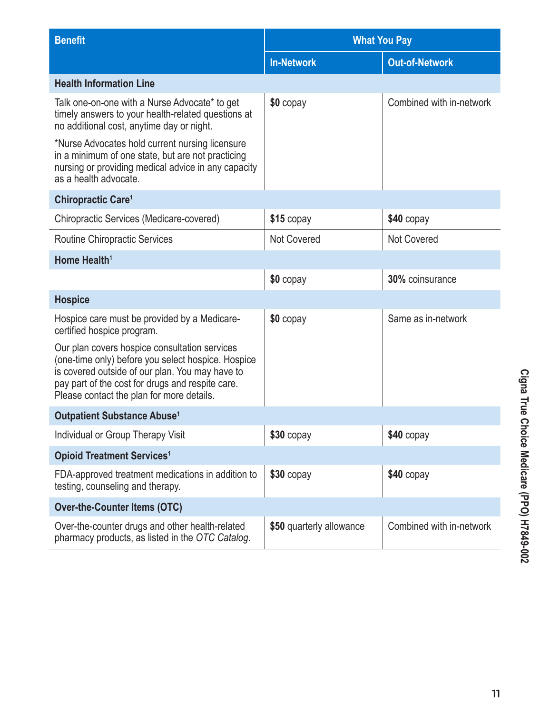| <b>Benefit</b>                                                                                                                                                                                                                                          | <b>What You Pay</b>      |                          |  |
|---------------------------------------------------------------------------------------------------------------------------------------------------------------------------------------------------------------------------------------------------------|--------------------------|--------------------------|--|
|                                                                                                                                                                                                                                                         | <b>In-Network</b>        | <b>Out-of-Network</b>    |  |
| <b>Health Information Line</b>                                                                                                                                                                                                                          |                          |                          |  |
| Talk one-on-one with a Nurse Advocate* to get<br>timely answers to your health-related questions at<br>no additional cost, anytime day or night.                                                                                                        | \$0 copay                | Combined with in-network |  |
| *Nurse Advocates hold current nursing licensure<br>in a minimum of one state, but are not practicing<br>nursing or providing medical advice in any capacity<br>as a health advocate.                                                                    |                          |                          |  |
| Chiropractic Care <sup>1</sup>                                                                                                                                                                                                                          |                          |                          |  |
| Chiropractic Services (Medicare-covered)                                                                                                                                                                                                                | $$15$ copay              | \$40 copay               |  |
| <b>Routine Chiropractic Services</b>                                                                                                                                                                                                                    | <b>Not Covered</b>       | <b>Not Covered</b>       |  |
| Home Health <sup>1</sup>                                                                                                                                                                                                                                |                          |                          |  |
|                                                                                                                                                                                                                                                         | \$0 copay                | 30% coinsurance          |  |
| <b>Hospice</b>                                                                                                                                                                                                                                          |                          |                          |  |
| Hospice care must be provided by a Medicare-<br>certified hospice program.                                                                                                                                                                              | \$0 copay                | Same as in-network       |  |
| Our plan covers hospice consultation services<br>(one-time only) before you select hospice. Hospice<br>is covered outside of our plan. You may have to<br>pay part of the cost for drugs and respite care.<br>Please contact the plan for more details. |                          |                          |  |
| Outpatient Substance Abuse <sup>1</sup>                                                                                                                                                                                                                 |                          |                          |  |
| Individual or Group Therapy Visit                                                                                                                                                                                                                       | \$30 copay               | \$40 copay               |  |
| <b>Opioid Treatment Services<sup>1</sup></b>                                                                                                                                                                                                            |                          |                          |  |
| FDA-approved treatment medications in addition to<br>testing, counseling and therapy.                                                                                                                                                                   | $$30$ copay              | $$40$ copay              |  |
| <b>Over-the-Counter Items (OTC)</b>                                                                                                                                                                                                                     |                          |                          |  |
| Over-the-counter drugs and other health-related<br>pharmacy products, as listed in the OTC Catalog.                                                                                                                                                     | \$50 quarterly allowance | Combined with in-network |  |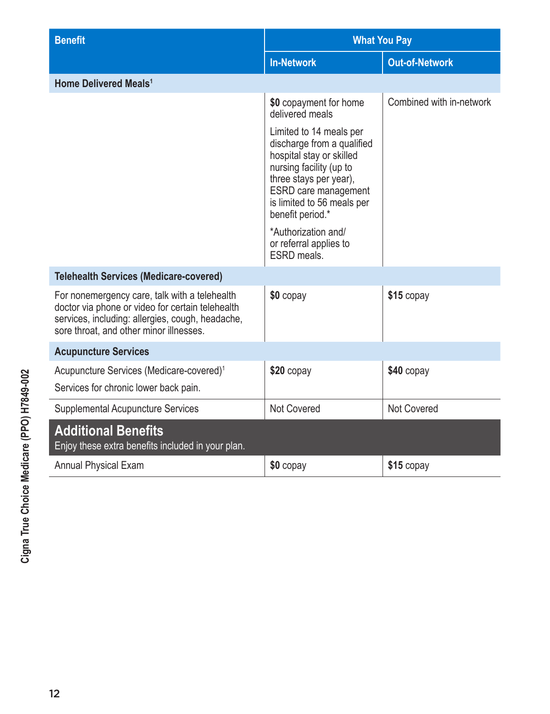| <b>Benefit</b>                                                                                                                                                                                   | <b>What You Pay</b>                                                                                                                                                                                                                     |                          |  |
|--------------------------------------------------------------------------------------------------------------------------------------------------------------------------------------------------|-----------------------------------------------------------------------------------------------------------------------------------------------------------------------------------------------------------------------------------------|--------------------------|--|
|                                                                                                                                                                                                  | <b>In-Network</b>                                                                                                                                                                                                                       | <b>Out-of-Network</b>    |  |
| <b>Home Delivered Meals<sup>1</sup></b>                                                                                                                                                          |                                                                                                                                                                                                                                         |                          |  |
|                                                                                                                                                                                                  | \$0 copayment for home<br>delivered meals                                                                                                                                                                                               | Combined with in-network |  |
|                                                                                                                                                                                                  | Limited to 14 meals per<br>discharge from a qualified<br>hospital stay or skilled<br>nursing facility (up to<br>three stays per year),<br>ESRD care management<br>is limited to 56 meals per<br>benefit period.*<br>*Authorization and/ |                          |  |
|                                                                                                                                                                                                  | or referral applies to<br>ESRD meals.                                                                                                                                                                                                   |                          |  |
| <b>Telehealth Services (Medicare-covered)</b>                                                                                                                                                    |                                                                                                                                                                                                                                         |                          |  |
| For nonemergency care, talk with a telehealth<br>doctor via phone or video for certain telehealth<br>services, including: allergies, cough, headache,<br>sore throat, and other minor illnesses. | \$0 copay                                                                                                                                                                                                                               | \$15 copay               |  |
| <b>Acupuncture Services</b>                                                                                                                                                                      |                                                                                                                                                                                                                                         |                          |  |
| Acupuncture Services (Medicare-covered) <sup>1</sup>                                                                                                                                             | $$20$ copay                                                                                                                                                                                                                             | $$40$ copay              |  |
| Services for chronic lower back pain.                                                                                                                                                            |                                                                                                                                                                                                                                         |                          |  |
| <b>Supplemental Acupuncture Services</b>                                                                                                                                                         | Not Covered                                                                                                                                                                                                                             | Not Covered              |  |
| <b>Additional Benefits</b><br>Enjoy these extra benefits included in your plan.                                                                                                                  |                                                                                                                                                                                                                                         |                          |  |
| <b>Annual Physical Exam</b>                                                                                                                                                                      | \$0 copay                                                                                                                                                                                                                               | \$15 copay               |  |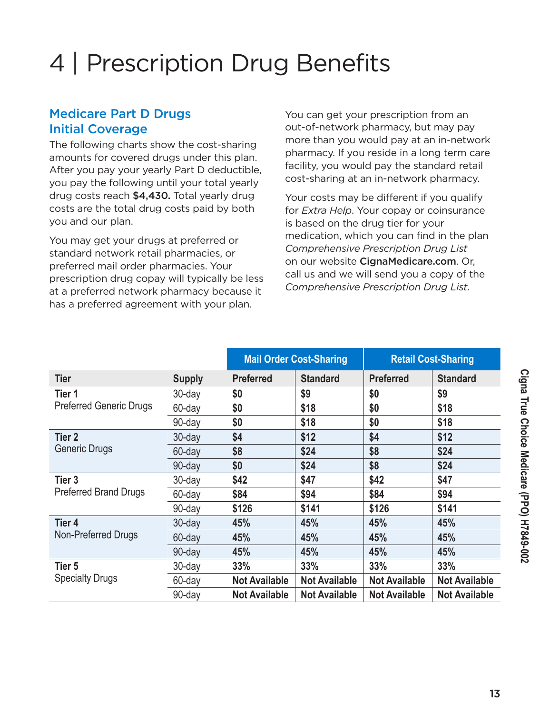# 4 | Prescription Drug Benefits

#### Medicare Part D Drugs Initial Coverage

The following charts show the cost-sharing amounts for covered drugs under this plan. After you pay your yearly Part D deductible, you pay the following until your total yearly drug costs reach \$4,430. Total yearly drug costs are the total drug costs paid by both you and our plan.

You may get your drugs at preferred or standard network retail pharmacies, or preferred mail order pharmacies. Your prescription drug copay will typically be less at a preferred network pharmacy because it has a preferred agreement with your plan.

You can get your prescription from an out-of-network pharmacy, but may pay more than you would pay at an in-network pharmacy. If you reside in a long term care facility, you would pay the standard retail cost-sharing at an in-network pharmacy.

Your costs may be different if you qualify for *Extra Help*. Your copay or coinsurance is based on the drug tier for your medication, which you can find in the plan *Comprehensive Prescription Drug List* on our website [CignaMedicare.com](http://www.cignamedicare.com). Or, call us and we will send you a copy of the *Comprehensive Prescription Drug List*.

|                                |               | <b>Mail Order Cost-Sharing</b> |                      |                      | <b>Retail Cost-Sharing</b> |
|--------------------------------|---------------|--------------------------------|----------------------|----------------------|----------------------------|
| <b>Tier</b>                    | <b>Supply</b> | <b>Preferred</b>               | <b>Standard</b>      | <b>Preferred</b>     | <b>Standard</b>            |
| Tier 1                         | 30-day        | \$0                            | \$9                  | \$0                  | \$9                        |
| <b>Preferred Generic Drugs</b> | 60-day        | \$0                            | \$18                 | \$0                  | \$18                       |
|                                | 90-day        | \$0                            | \$18                 | \$0                  | \$18                       |
| Tier <sub>2</sub>              | $30$ -day     | \$4                            | \$12                 | \$4                  | \$12                       |
| Generic Drugs                  | 60-day        | \$8                            | \$24                 | \$8                  | \$24                       |
|                                | 90-day        | \$0                            | \$24                 | \$8                  | \$24                       |
| Tier <sub>3</sub>              | 30-day        | \$42                           | \$47                 | \$42                 | \$47                       |
| Preferred Brand Drugs          | 60-day        | \$84                           | \$94                 | \$84                 | \$94                       |
|                                | 90-day        | \$126                          | \$141                | \$126                | \$141                      |
| Tier 4                         | $30$ -day     | 45%                            | 45%                  | 45%                  | 45%                        |
| Non-Preferred Drugs            | 60-day        | 45%                            | 45%                  | 45%                  | 45%                        |
|                                | 90-day        | 45%                            | 45%                  | 45%                  | 45%                        |
| Tier 5                         | 30-day        | 33%                            | 33%                  | 33%                  | 33%                        |
| <b>Specialty Drugs</b>         | 60-day        | <b>Not Available</b>           | <b>Not Available</b> | <b>Not Available</b> | <b>Not Available</b>       |
|                                | 90-day        | <b>Not Available</b>           | <b>Not Available</b> | <b>Not Available</b> | <b>Not Available</b>       |